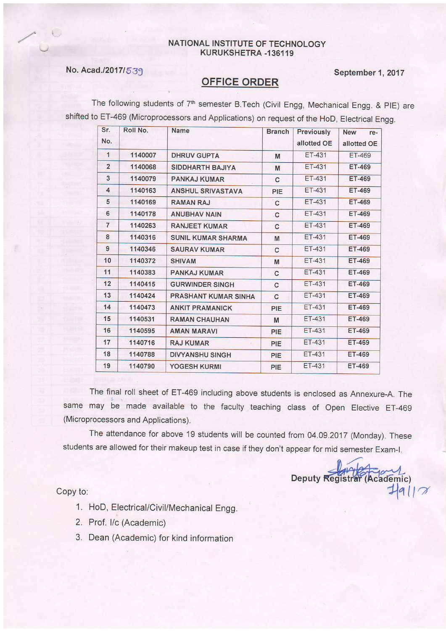## NATIONAL INSTITUTE OF TECHNOLOGY KURUKSHETRA -136119

## No. Acad./2017/539 September 1, 2017

The following students of 7<sup>th</sup> semester B.Tech (Civil Engg, Mechanical Engg. & PIE) are shifted to ET-469 (Microprocessors and Applications) on request of the HoD, Electrical Engg.

| Sr.            | Roll No. | <b>Name</b>                 | <b>Branch</b> | <b>Previously</b> | <b>New</b><br>re- |
|----------------|----------|-----------------------------|---------------|-------------------|-------------------|
| No.            |          |                             |               | allotted OE       | allotted OE       |
| 1              | 1140007  | <b>DHRUV GUPTA</b>          | M             | ET-431            | ET-469            |
| $\overline{2}$ | 1140068  | <b>SIDDHARTH BAJIYA</b>     | M             | ET-431            | <b>ET-469</b>     |
| 3              | 1140079  | <b>PANKAJ KUMAR</b>         | C             | ET-431            | <b>ET-469</b>     |
| 4              | 1140163  | <b>ANSHUL SRIVASTAVA</b>    | PIE           | ET-431            | ET-469            |
| 5              | 1140169  | <b>RAMAN RAJ</b>            | $\mathbf{C}$  | ET-431            | <b>ET-469</b>     |
| 6              | 1140178  | <b>ANUBHAV NAIN</b>         | C             | ET-431            | <b>ET-469</b>     |
| $\overline{7}$ | 1140263  | <b>RANJEET KUMAR</b>        | C             | ET-431            | ET-469            |
| 8              | 1140316  | <b>SUNIL KUMAR SHARMA</b>   | M             | <b>ET-431</b>     | <b>ET-469</b>     |
| 9              | 1140346  | <b>SAURAV KUMAR</b>         | $\mathbf{C}$  | <b>ET-431</b>     | <b>ET-469</b>     |
| 10             | 1140372  | <b>SHIVAM</b>               | M             | ET-431            | <b>ET-469</b>     |
| 11             | 1140383  | <b>PANKAJ KUMAR</b>         | C             | <b>ET-431</b>     | <b>ET-469</b>     |
| 12             | 1140415  | <b>GURWINDER SINGH</b>      | $\mathbf{C}$  | ET-431            | <b>ET-469</b>     |
| 13             | 1140424  | <b>PRASHANT KUMAR SINHA</b> | $\mathbf{C}$  | ET-431            | <b>ET-469</b>     |
| 14             | 1140473  | <b>ANKIT PRAMANICK</b>      | PIE           | <b>ET-431</b>     | <b>ET-469</b>     |
| 15             | 1140531  | <b>RAMAN CHAUHAN</b>        | M             | ET-431            | <b>ET-469</b>     |
| 16             | 1140595  | <b>AMAN MARAVI</b>          | PIE           | ET-431            | <b>ET-469</b>     |
| 17             | 1140716  | <b>RAJ KUMAR</b>            | PIE           | <b>ET-431</b>     | <b>ET-469</b>     |
| 18             | 1140788  | <b>DIVYANSHU SINGH</b>      | PIE           | <b>ET-431</b>     | <b>ET-469</b>     |
| 19             | 1140790  | YOGESH KURMI                | PIE           | ET-431            | ET-469            |

The final roll sheet of ET-469 including above students is enclosed as Annexure-A. The same may be made available to the faculty teaching class of open Elective ET-469 (Microprocessors and Applications).

The attendance for above 19 students will be counted from 04.09.2017 (Monday). These students are allowed for their makeup test in case if they don't appear for mid semester Exam-I.

Deputy Registrar (Academic)  $7917$ 

Copy to:

- 1. HoD, Electrical/Civil/Mechanical Engg.
- 2. Prof. I/c (Academic)
- 3. Dean (Academic) for kind information